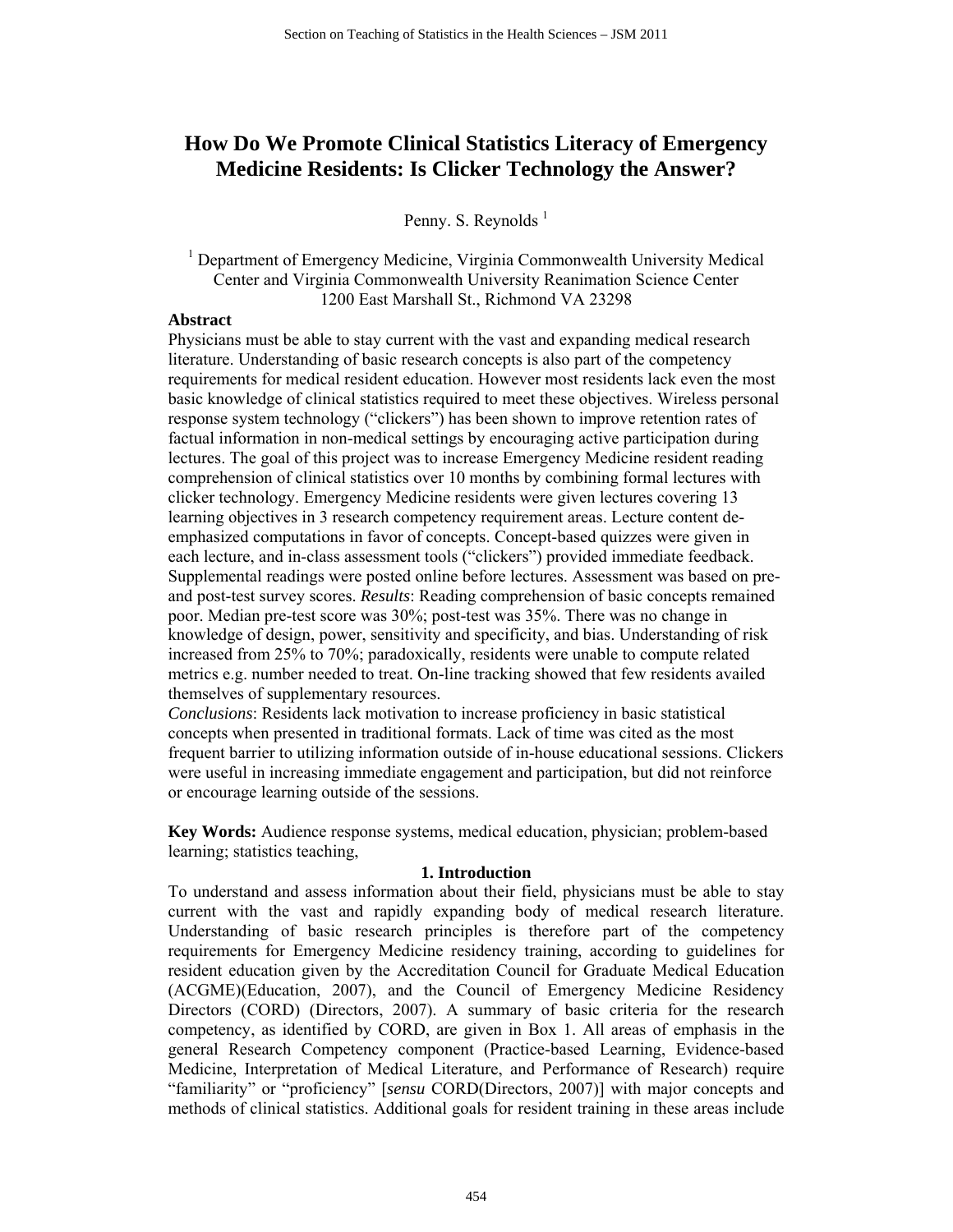# **How Do We Promote Clinical Statistics Literacy of Emergency Medicine Residents: Is Clicker Technology the Answer?**

Penny. S. Reynolds<sup>1</sup>

<sup>1</sup> Department of Emergency Medicine, Virginia Commonwealth University Medical Center and Virginia Commonwealth University Reanimation Science Center 1200 East Marshall St., Richmond VA 23298

#### **Abstract**

Physicians must be able to stay current with the vast and expanding medical research literature. Understanding of basic research concepts is also part of the competency requirements for medical resident education. However most residents lack even the most basic knowledge of clinical statistics required to meet these objectives. Wireless personal response system technology ("clickers") has been shown to improve retention rates of factual information in non-medical settings by encouraging active participation during lectures. The goal of this project was to increase Emergency Medicine resident reading comprehension of clinical statistics over 10 months by combining formal lectures with clicker technology. Emergency Medicine residents were given lectures covering 13 learning objectives in 3 research competency requirement areas. Lecture content deemphasized computations in favor of concepts. Concept-based quizzes were given in each lecture, and in-class assessment tools ("clickers") provided immediate feedback. Supplemental readings were posted online before lectures. Assessment was based on preand post-test survey scores. *Results*: Reading comprehension of basic concepts remained poor. Median pre-test score was 30%; post-test was 35%. There was no change in knowledge of design, power, sensitivity and specificity, and bias. Understanding of risk increased from 25% to 70%; paradoxically, residents were unable to compute related metrics e.g. number needed to treat. On-line tracking showed that few residents availed themselves of supplementary resources.

*Conclusions*: Residents lack motivation to increase proficiency in basic statistical concepts when presented in traditional formats. Lack of time was cited as the most frequent barrier to utilizing information outside of in-house educational sessions. Clickers were useful in increasing immediate engagement and participation, but did not reinforce or encourage learning outside of the sessions.

**Key Words:** Audience response systems, medical education, physician; problem-based learning; statistics teaching,

#### **1. Introduction**

To understand and assess information about their field, physicians must be able to stay current with the vast and rapidly expanding body of medical research literature. Understanding of basic research principles is therefore part of the competency requirements for Emergency Medicine residency training, according to guidelines for resident education given by the Accreditation Council for Graduate Medical Education (ACGME)(Education, 2007), and the Council of Emergency Medicine Residency Directors (CORD) (Directors, 2007). A summary of basic criteria for the research competency, as identified by CORD, are given in Box 1. All areas of emphasis in the general Research Competency component (Practice-based Learning, Evidence-based Medicine, Interpretation of Medical Literature, and Performance of Research) require "familiarity" or "proficiency" [*sensu* CORD(Directors, 2007)] with major concepts and methods of clinical statistics. Additional goals for resident training in these areas include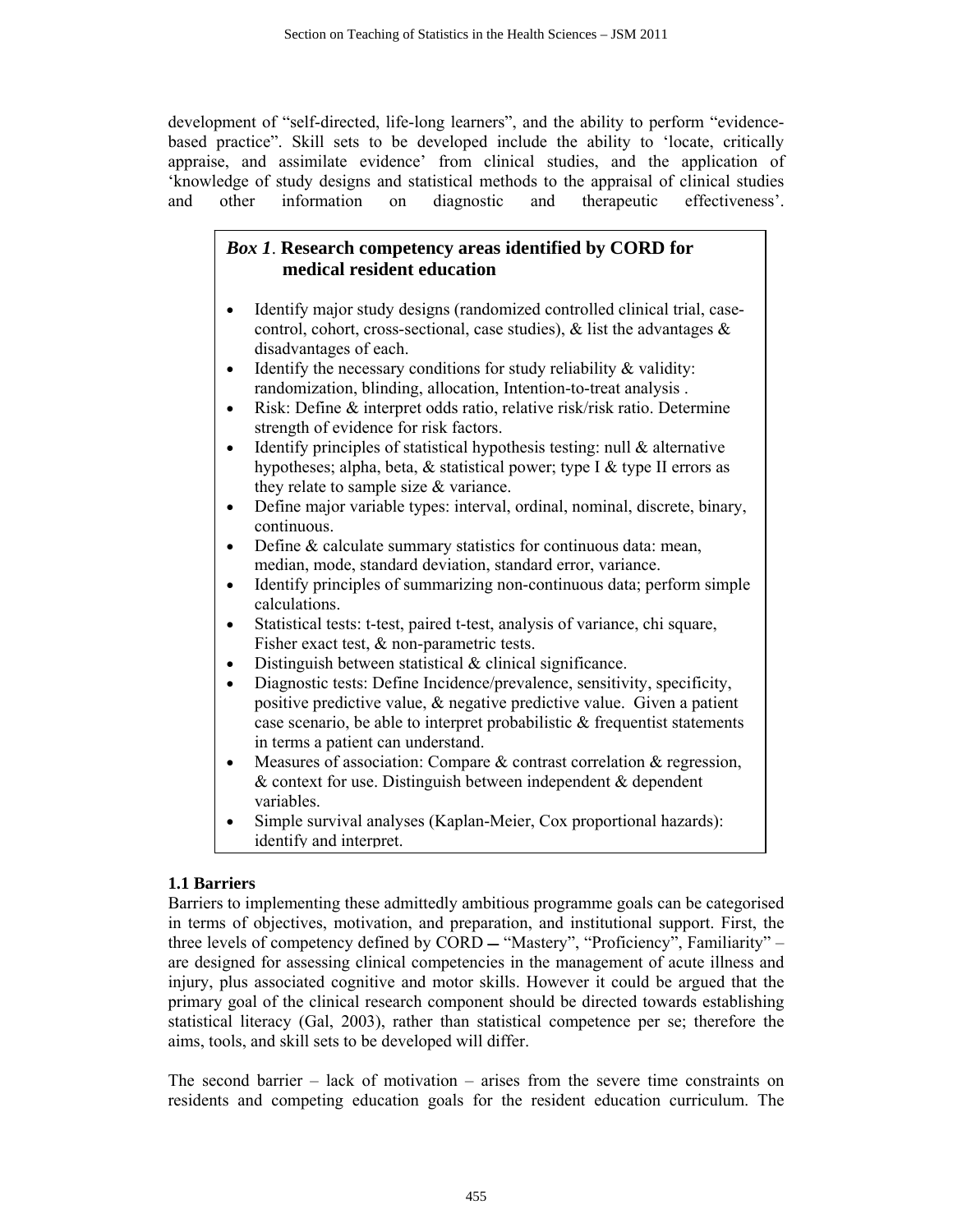development of "self-directed, life-long learners", and the ability to perform "evidencebased practice". Skill sets to be developed include the ability to 'locate, critically appraise, and assimilate evidence' from clinical studies, and the application of 'knowledge of study designs and statistical methods to the appraisal of clinical studies and other information on diagnostic and therapeutic effectiveness'.

# *Box 1*. **Research competency areas identified by CORD for medical resident education**

- Identify major study designs (randomized controlled clinical trial, casecontrol, cohort, cross-sectional, case studies),  $\&$  list the advantages  $\&$ disadvantages of each.
- Identify the necessary conditions for study reliability  $\&$  validity: randomization, blinding, allocation, Intention-to-treat analysis .
- Risk: Define & interpret odds ratio, relative risk/risk ratio. Determine strength of evidence for risk factors.
- Identify principles of statistical hypothesis testing: null  $\&$  alternative hypotheses; alpha, beta, & statistical power; type I & type II errors as they relate to sample size & variance.
- Define major variable types: interval, ordinal, nominal, discrete, binary, continuous.
- Define & calculate summary statistics for continuous data: mean, median, mode, standard deviation, standard error, variance.
- Identify principles of summarizing non-continuous data; perform simple calculations.
- Statistical tests: t-test, paired t-test, analysis of variance, chi square, Fisher exact test, & non-parametric tests.
- Distinguish between statistical  $&$  clinical significance.
- Diagnostic tests: Define Incidence/prevalence, sensitivity, specificity, positive predictive value, & negative predictive value. Given a patient case scenario, be able to interpret probabilistic & frequentist statements in terms a patient can understand.
- Measures of association: Compare & contrast correlation & regression, & context for use. Distinguish between independent & dependent variables.
- Simple survival analyses (Kaplan-Meier, Cox proportional hazards): identify and interpret.

## **1.1 Barriers**

Barriers to implementing these admittedly ambitious programme goals can be categorised in terms of objectives, motivation, and preparation, and institutional support. First, the three levels of competency defined by CORD - "Mastery", "Proficiency", Familiarity" are designed for assessing clinical competencies in the management of acute illness and injury, plus associated cognitive and motor skills. However it could be argued that the primary goal of the clinical research component should be directed towards establishing statistical literacy (Gal, 2003), rather than statistical competence per se; therefore the aims, tools, and skill sets to be developed will differ.

The second barrier – lack of motivation – arises from the severe time constraints on residents and competing education goals for the resident education curriculum. The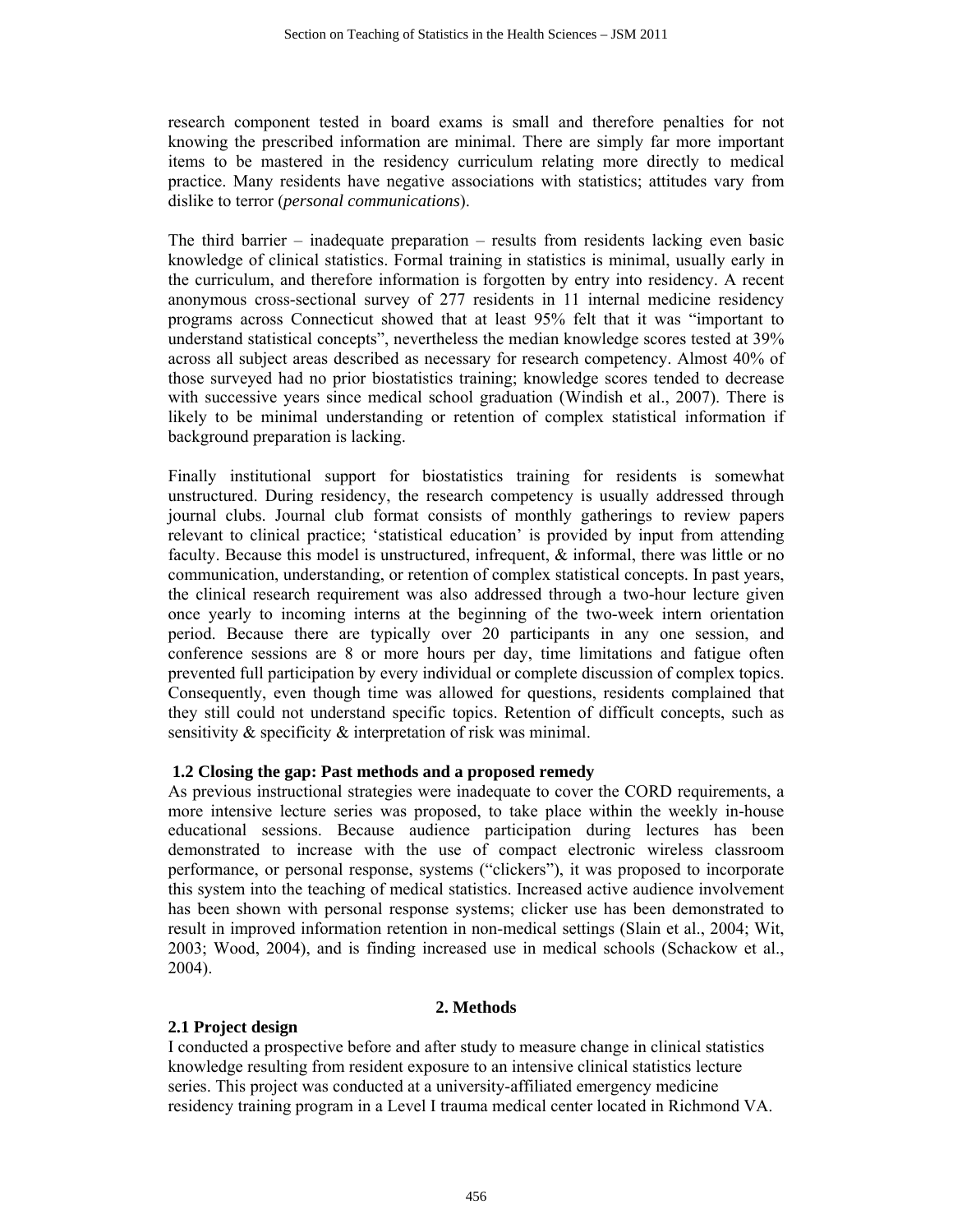research component tested in board exams is small and therefore penalties for not knowing the prescribed information are minimal. There are simply far more important items to be mastered in the residency curriculum relating more directly to medical practice. Many residents have negative associations with statistics; attitudes vary from dislike to terror (*personal communications*).

The third barrier – inadequate preparation – results from residents lacking even basic knowledge of clinical statistics. Formal training in statistics is minimal, usually early in the curriculum, and therefore information is forgotten by entry into residency. A recent anonymous cross-sectional survey of 277 residents in 11 internal medicine residency programs across Connecticut showed that at least 95% felt that it was "important to understand statistical concepts", nevertheless the median knowledge scores tested at 39% across all subject areas described as necessary for research competency. Almost 40% of those surveyed had no prior biostatistics training; knowledge scores tended to decrease with successive years since medical school graduation (Windish et al., 2007). There is likely to be minimal understanding or retention of complex statistical information if background preparation is lacking.

Finally institutional support for biostatistics training for residents is somewhat unstructured. During residency, the research competency is usually addressed through journal clubs. Journal club format consists of monthly gatherings to review papers relevant to clinical practice; 'statistical education' is provided by input from attending faculty. Because this model is unstructured, infrequent, & informal, there was little or no communication, understanding, or retention of complex statistical concepts. In past years, the clinical research requirement was also addressed through a two-hour lecture given once yearly to incoming interns at the beginning of the two-week intern orientation period. Because there are typically over 20 participants in any one session, and conference sessions are 8 or more hours per day, time limitations and fatigue often prevented full participation by every individual or complete discussion of complex topics. Consequently, even though time was allowed for questions, residents complained that they still could not understand specific topics. Retention of difficult concepts, such as sensitivity & specificity & interpretation of risk was minimal.

### **1.2 Closing the gap: Past methods and a proposed remedy**

As previous instructional strategies were inadequate to cover the CORD requirements, a more intensive lecture series was proposed, to take place within the weekly in-house educational sessions. Because audience participation during lectures has been demonstrated to increase with the use of compact electronic wireless classroom performance, or personal response, systems ("clickers"), it was proposed to incorporate this system into the teaching of medical statistics. Increased active audience involvement has been shown with personal response systems; clicker use has been demonstrated to result in improved information retention in non-medical settings (Slain et al., 2004; Wit, 2003; Wood, 2004), and is finding increased use in medical schools (Schackow et al., 2004).

#### **2. Methods**

### **2.1 Project design**

I conducted a prospective before and after study to measure change in clinical statistics knowledge resulting from resident exposure to an intensive clinical statistics lecture series. This project was conducted at a university-affiliated emergency medicine residency training program in a Level I trauma medical center located in Richmond VA.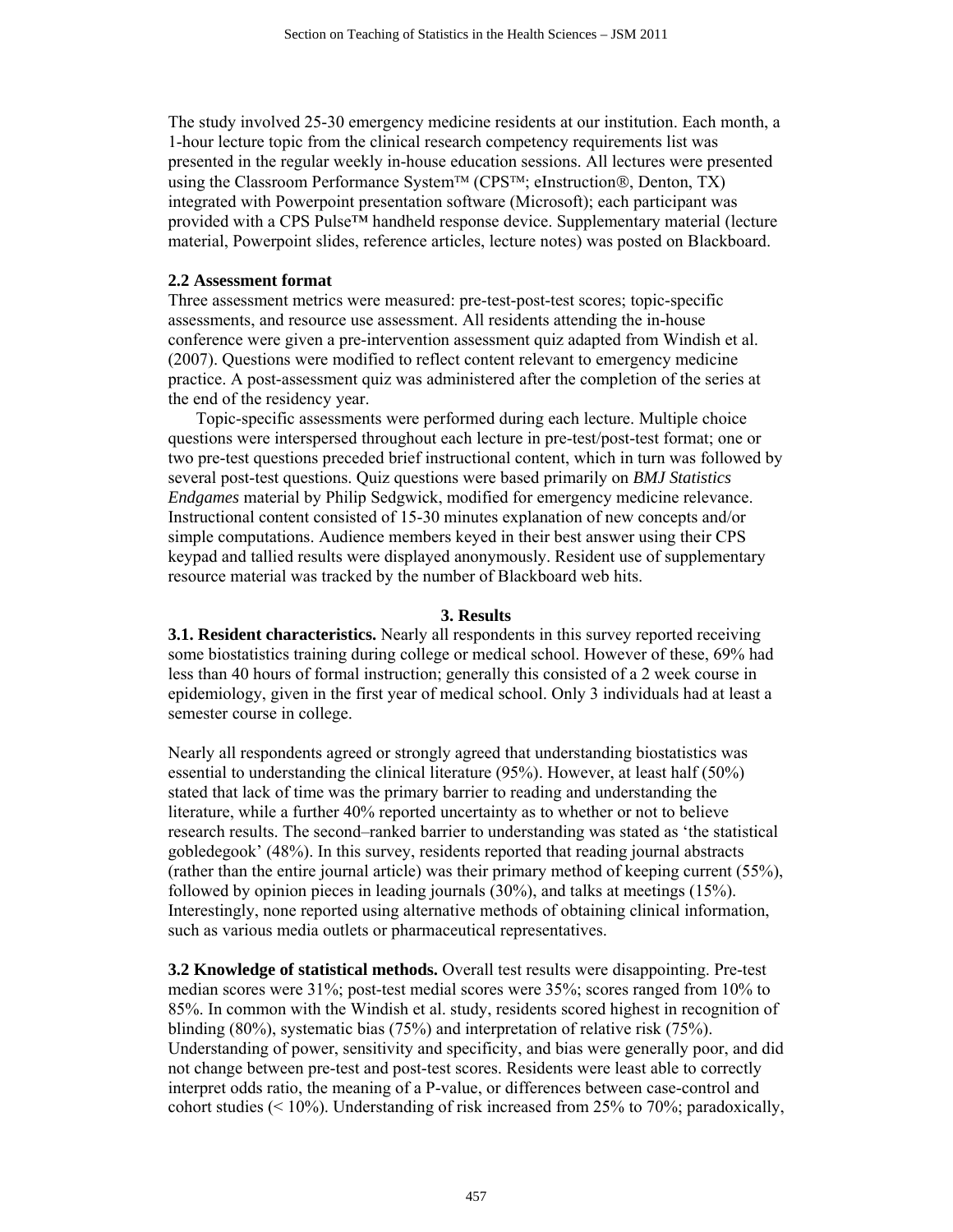The study involved 25-30 emergency medicine residents at our institution. Each month, a 1-hour lecture topic from the clinical research competency requirements list was presented in the regular weekly in-house education sessions. All lectures were presented using the Classroom Performance System™ (CPS™; eInstruction®, Denton, TX) integrated with Powerpoint presentation software (Microsoft); each participant was provided with a [CPS Pulse™](http://www.einstruction.com/products/student-response-systems/cps-pulse) handheld response device. Supplementary material (lecture material, Powerpoint slides, reference articles, lecture notes) was posted on Blackboard.

#### **2.2 Assessment format**

Three assessment metrics were measured: pre-test-post-test scores; topic-specific assessments, and resource use assessment. All residents attending the in-house conference were given a pre-intervention assessment quiz adapted from Windish et al. (2007). Questions were modified to reflect content relevant to emergency medicine practice. A post-assessment quiz was administered after the completion of the series at the end of the residency year.

Topic-specific assessments were performed during each lecture. Multiple choice questions were interspersed throughout each lecture in pre-test/post-test format; one or two pre-test questions preceded brief instructional content, which in turn was followed by several post-test questions. Quiz questions were based primarily on *BMJ Statistics Endgames* material by Philip Sedgwick, modified for emergency medicine relevance. Instructional content consisted of 15-30 minutes explanation of new concepts and/or simple computations. Audience members keyed in their best answer using their CPS keypad and tallied results were displayed anonymously. Resident use of supplementary resource material was tracked by the number of Blackboard web hits.

#### **3. Results**

**3.1. Resident characteristics.** Nearly all respondents in this survey reported receiving some biostatistics training during college or medical school. However of these, 69% had less than 40 hours of formal instruction; generally this consisted of a 2 week course in epidemiology, given in the first year of medical school. Only 3 individuals had at least a semester course in college.

Nearly all respondents agreed or strongly agreed that understanding biostatistics was essential to understanding the clinical literature (95%). However, at least half (50%) stated that lack of time was the primary barrier to reading and understanding the literature, while a further 40% reported uncertainty as to whether or not to believe research results. The second–ranked barrier to understanding was stated as 'the statistical gobledegook' (48%). In this survey, residents reported that reading journal abstracts (rather than the entire journal article) was their primary method of keeping current (55%), followed by opinion pieces in leading journals (30%), and talks at meetings (15%). Interestingly, none reported using alternative methods of obtaining clinical information, such as various media outlets or pharmaceutical representatives.

**3.2 Knowledge of statistical methods.** Overall test results were disappointing. Pre-test median scores were 31%; post-test medial scores were 35%; scores ranged from 10% to 85%. In common with the Windish et al. study, residents scored highest in recognition of blinding (80%), systematic bias (75%) and interpretation of relative risk (75%). Understanding of power, sensitivity and specificity, and bias were generally poor, and did not change between pre-test and post-test scores. Residents were least able to correctly interpret odds ratio, the meaning of a P-value, or differences between case-control and cohort studies ( $\leq 10\%$ ). Understanding of risk increased from 25% to 70%; paradoxically,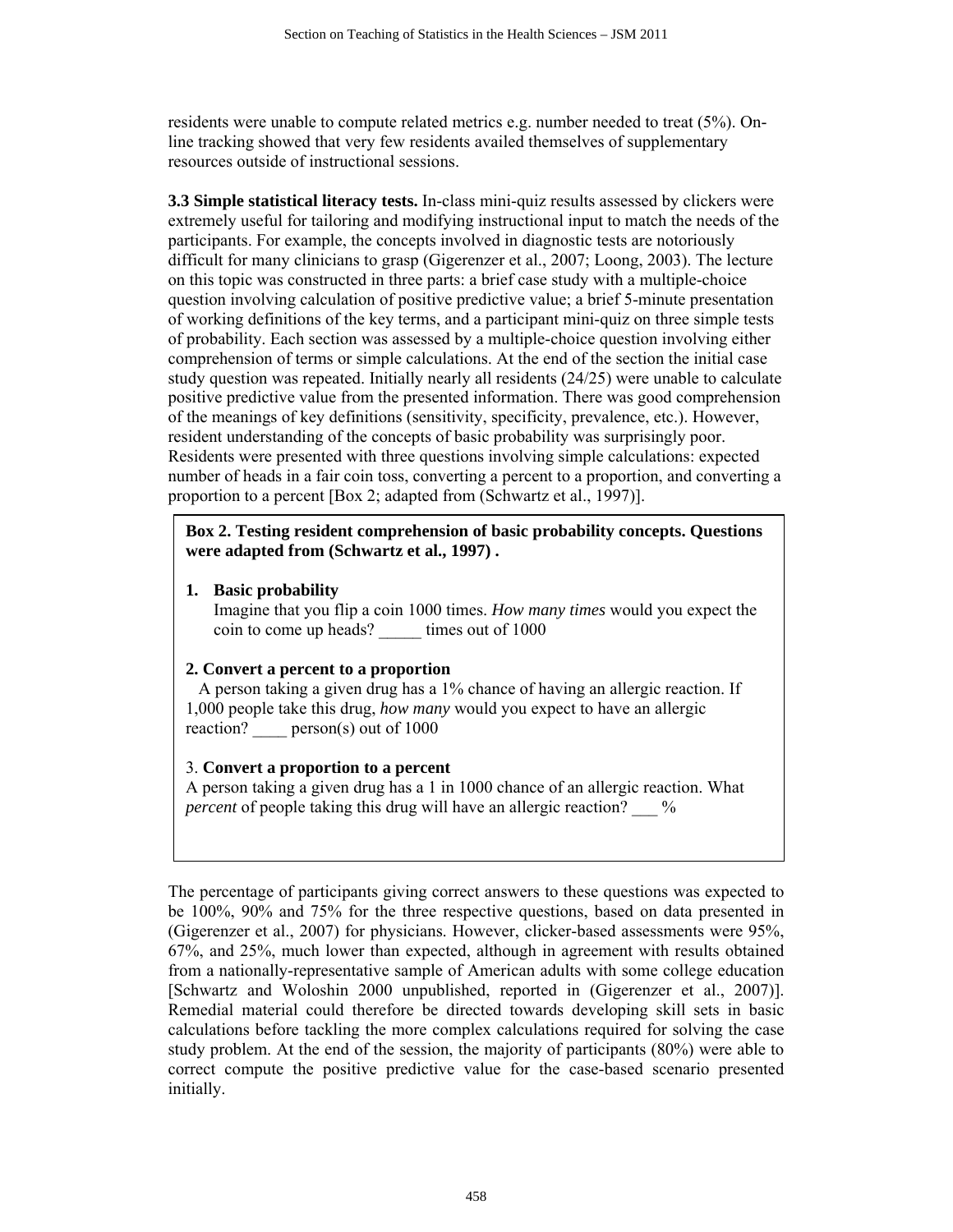residents were unable to compute related metrics e.g. number needed to treat (5%). Online tracking showed that very few residents availed themselves of supplementary resources outside of instructional sessions.

**3.3 Simple statistical literacy tests.** In-class mini-quiz results assessed by clickers were extremely useful for tailoring and modifying instructional input to match the needs of the participants. For example, the concepts involved in diagnostic tests are notoriously difficult for many clinicians to grasp (Gigerenzer et al., 2007; Loong, 2003). The lecture on this topic was constructed in three parts: a brief case study with a multiple-choice question involving calculation of positive predictive value; a brief 5-minute presentation of working definitions of the key terms, and a participant mini-quiz on three simple tests of probability. Each section was assessed by a multiple-choice question involving either comprehension of terms or simple calculations. At the end of the section the initial case study question was repeated. Initially nearly all residents (24/25) were unable to calculate positive predictive value from the presented information. There was good comprehension of the meanings of key definitions (sensitivity, specificity, prevalence, etc.). However, resident understanding of the concepts of basic probability was surprisingly poor. Residents were presented with three questions involving simple calculations: expected number of heads in a fair coin toss, converting a percent to a proportion, and converting a proportion to a percent [Box 2; adapted from (Schwartz et al., 1997)].

**Box 2. Testing resident comprehension of basic probability concepts. Questions were adapted from (Schwartz et al., 1997) .** 

**1. Basic probability** 

Imagine that you flip a coin 1000 times. *How many times* would you expect the coin to come up heads? \_\_\_\_\_ times out of 1000

#### **2. Convert a percent to a proportion**

 A person taking a given drug has a 1% chance of having an allergic reaction. If 1,000 people take this drug, *how many* would you expect to have an allergic reaction? person(s) out of 1000

#### 3. **Convert a proportion to a percent**

A person taking a given drug has a 1 in 1000 chance of an allergic reaction. What *percent* of people taking this drug will have an allergic reaction?  $\frac{1}{2}$ 

The percentage of participants giving correct answers to these questions was expected to be 100%, 90% and 75% for the three respective questions, based on data presented in (Gigerenzer et al., 2007) for physicians. However, clicker-based assessments were 95%, 67%, and 25%, much lower than expected, although in agreement with results obtained from a nationally-representative sample of American adults with some college education [Schwartz and Woloshin 2000 unpublished, reported in (Gigerenzer et al., 2007)]. Remedial material could therefore be directed towards developing skill sets in basic calculations before tackling the more complex calculations required for solving the case study problem. At the end of the session, the majority of participants (80%) were able to correct compute the positive predictive value for the case-based scenario presented initially.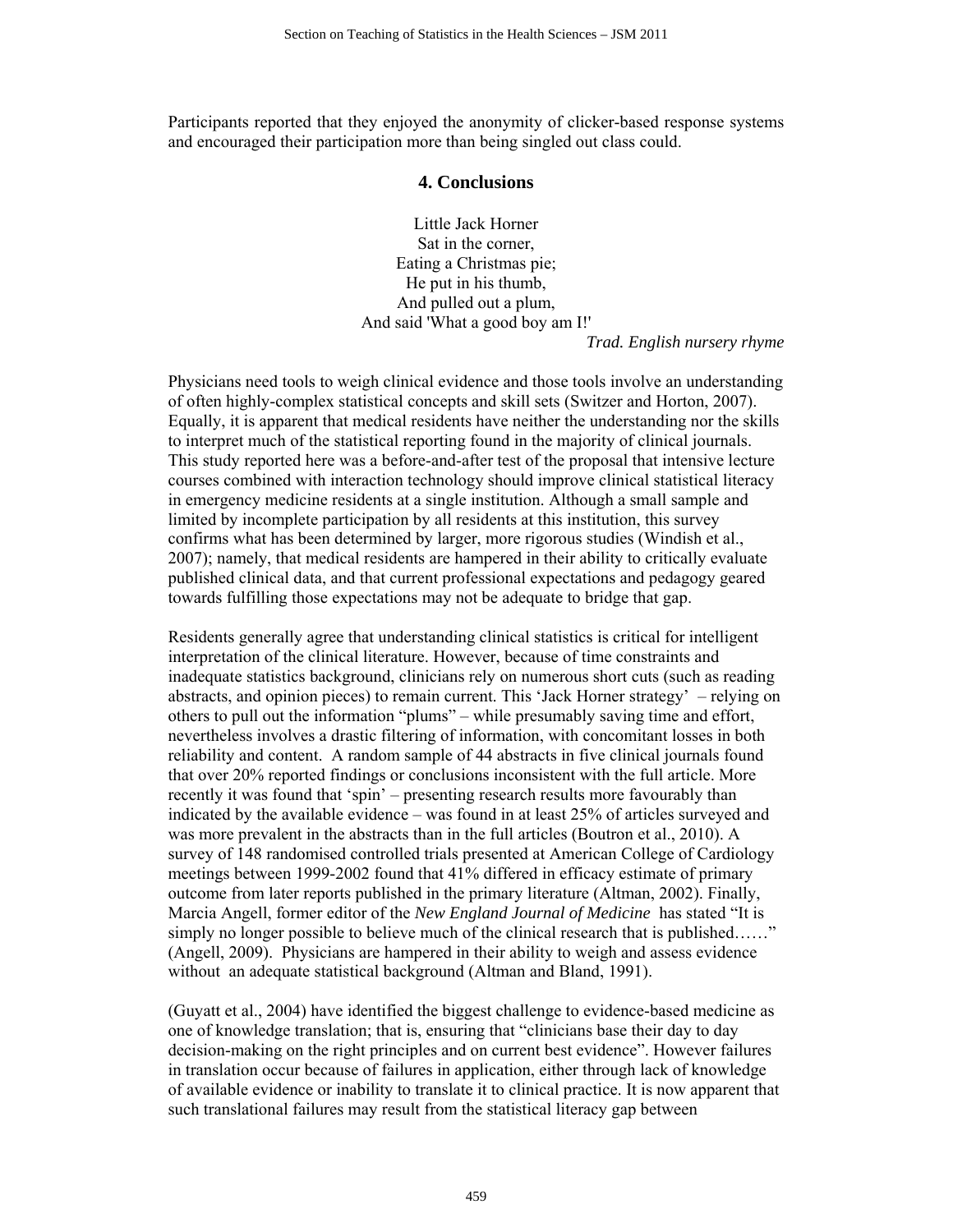Participants reported that they enjoyed the anonymity of clicker-based response systems and encouraged their participation more than being singled out class could.

#### **4. Conclusions**

Little Jack Horner Sat in the corner, Eating a Christmas pie; He put in his thumb, And pulled out a plum, And said 'What a good boy am I!'

*Trad. English nursery rhyme* 

Physicians need tools to weigh clinical evidence and those tools involve an understanding of often highly-complex statistical concepts and skill sets (Switzer and Horton, 2007). Equally, it is apparent that medical residents have neither the understanding nor the skills to interpret much of the statistical reporting found in the majority of clinical journals. This study reported here was a before-and-after test of the proposal that intensive lecture courses combined with interaction technology should improve clinical statistical literacy in emergency medicine residents at a single institution. Although a small sample and limited by incomplete participation by all residents at this institution, this survey confirms what has been determined by larger, more rigorous studies (Windish et al., 2007); namely, that medical residents are hampered in their ability to critically evaluate published clinical data, and that current professional expectations and pedagogy geared towards fulfilling those expectations may not be adequate to bridge that gap.

Residents generally agree that understanding clinical statistics is critical for intelligent interpretation of the clinical literature. However, because of time constraints and inadequate statistics background, clinicians rely on numerous short cuts (such as reading abstracts, and opinion pieces) to remain current. This 'Jack Horner strategy' – relying on others to pull out the information "plums" – while presumably saving time and effort, nevertheless involves a drastic filtering of information, with concomitant losses in both reliability and content. A random sample of 44 abstracts in five clinical journals found that over 20% reported findings or conclusions inconsistent with the full article. More recently it was found that 'spin' – presenting research results more favourably than indicated by the available evidence – was found in at least 25% of articles surveyed and was more prevalent in the abstracts than in the full articles (Boutron et al., 2010). A survey of 148 randomised controlled trials presented at American College of Cardiology meetings between 1999-2002 found that 41% differed in efficacy estimate of primary outcome from later reports published in the primary literature (Altman, 2002). Finally, Marcia Angell, former editor of the *New England Journal of Medicine* has stated "It is simply no longer possible to believe much of the clinical research that is published……" (Angell, 2009). Physicians are hampered in their ability to weigh and assess evidence without an adequate statistical background (Altman and Bland, 1991).

(Guyatt et al., 2004) have identified the biggest challenge to evidence-based medicine as one of knowledge translation; that is, ensuring that "clinicians base their day to day decision-making on the right principles and on current best evidence". However failures in translation occur because of failures in application, either through lack of knowledge of available evidence or inability to translate it to clinical practice. It is now apparent that such translational failures may result from the statistical literacy gap between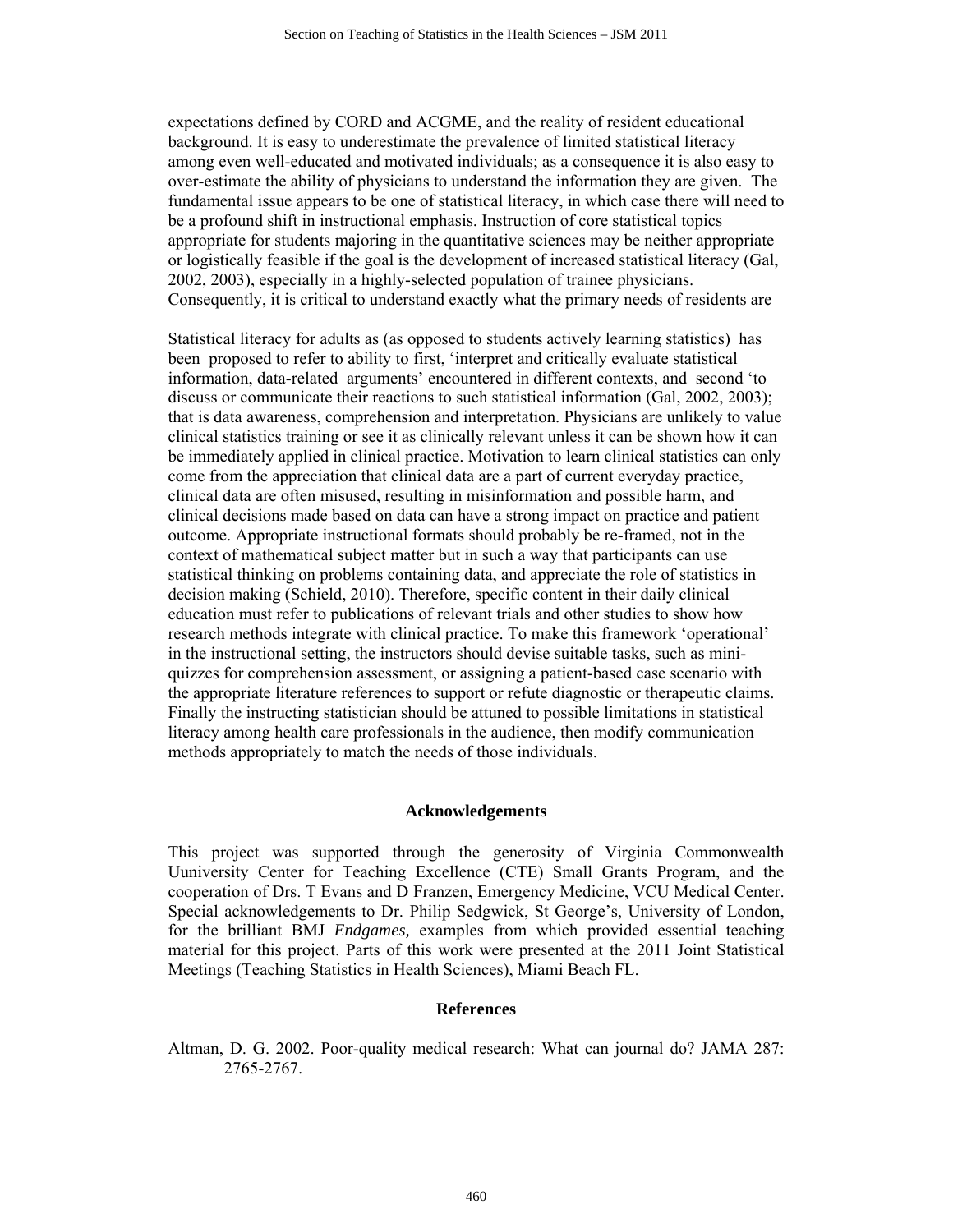expectations defined by CORD and ACGME, and the reality of resident educational background. It is easy to underestimate the prevalence of limited statistical literacy among even well-educated and motivated individuals; as a consequence it is also easy to over-estimate the ability of physicians to understand the information they are given. The fundamental issue appears to be one of statistical literacy, in which case there will need to be a profound shift in instructional emphasis. Instruction of core statistical topics appropriate for students majoring in the quantitative sciences may be neither appropriate or logistically feasible if the goal is the development of increased statistical literacy (Gal, 2002, 2003), especially in a highly-selected population of trainee physicians. Consequently, it is critical to understand exactly what the primary needs of residents are

Statistical literacy for adults as (as opposed to students actively learning statistics) has been proposed to refer to ability to first, 'interpret and critically evaluate statistical information, data-related arguments' encountered in different contexts, and second 'to discuss or communicate their reactions to such statistical information (Gal, 2002, 2003); that is data awareness, comprehension and interpretation. Physicians are unlikely to value clinical statistics training or see it as clinically relevant unless it can be shown how it can be immediately applied in clinical practice. Motivation to learn clinical statistics can only come from the appreciation that clinical data are a part of current everyday practice, clinical data are often misused, resulting in misinformation and possible harm, and clinical decisions made based on data can have a strong impact on practice and patient outcome. Appropriate instructional formats should probably be re-framed, not in the context of mathematical subject matter but in such a way that participants can use statistical thinking on problems containing data, and appreciate the role of statistics in decision making (Schield, 2010). Therefore, specific content in their daily clinical education must refer to publications of relevant trials and other studies to show how research methods integrate with clinical practice. To make this framework 'operational' in the instructional setting, the instructors should devise suitable tasks, such as miniquizzes for comprehension assessment, or assigning a patient-based case scenario with the appropriate literature references to support or refute diagnostic or therapeutic claims. Finally the instructing statistician should be attuned to possible limitations in statistical literacy among health care professionals in the audience, then modify communication methods appropriately to match the needs of those individuals.

#### **Acknowledgements**

This project was supported through the generosity of Virginia Commonwealth Uuniversity Center for Teaching Excellence (CTE) Small Grants Program, and the cooperation of Drs. T Evans and D Franzen, Emergency Medicine, VCU Medical Center. Special acknowledgements to Dr. Philip Sedgwick, St George's, University of London, for the brilliant BMJ *Endgames,* examples from which provided essential teaching material for this project. Parts of this work were presented at the 2011 Joint Statistical Meetings (Teaching Statistics in Health Sciences), Miami Beach FL.

#### **References**

Altman, D. G. 2002. Poor-quality medical research: What can journal do? JAMA 287: 2765-2767.